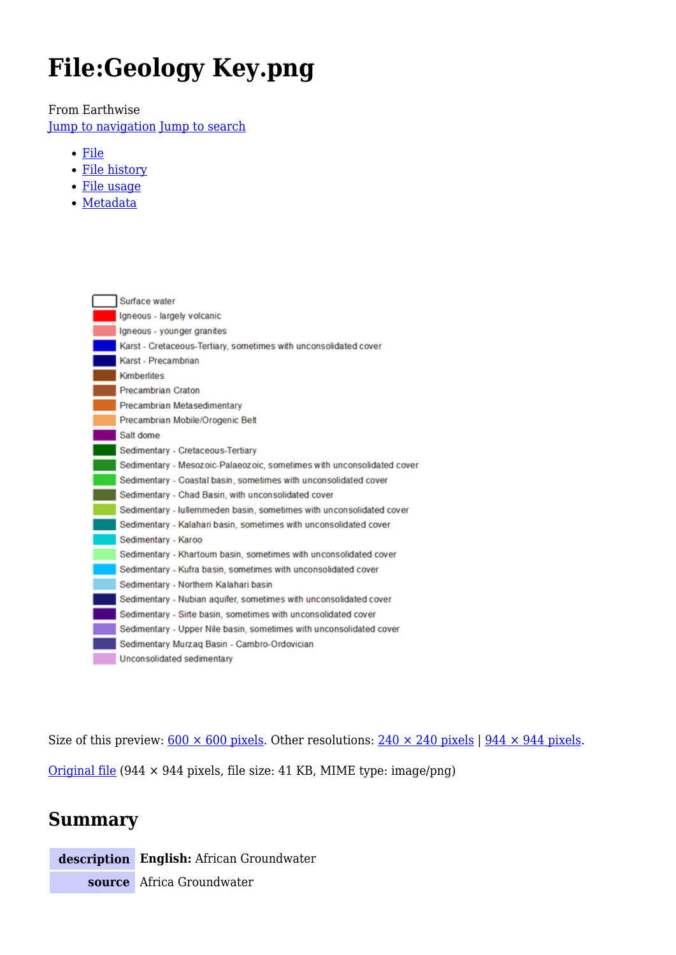# **File:Geology Key.png**

From Earthwise

[Jump to navigation](#page--1-0) [Jump to search](#page--1-0)

- [File](#page--1-0)
- [File history](#page--1-0)
- [File usage](#page--1-0)
- [Metadata](#page--1-0)



Size of this preview:  $\frac{600 \times 600 \text{ pixels}}{200 \text{ pixels}}$ . Other resolutions:  $\frac{240 \times 240 \text{ pixels}}{244 \times 944 \text{ pixels}}$ . [Original file](http://earthwise.bgs.ac.uk/images/5/51/Geology_Key.png) (944 × 944 pixels, file size: 41 KB, MIME type: image/png)

## **Summary**

**description English:** African Groundwater

**source** Africa Groundwater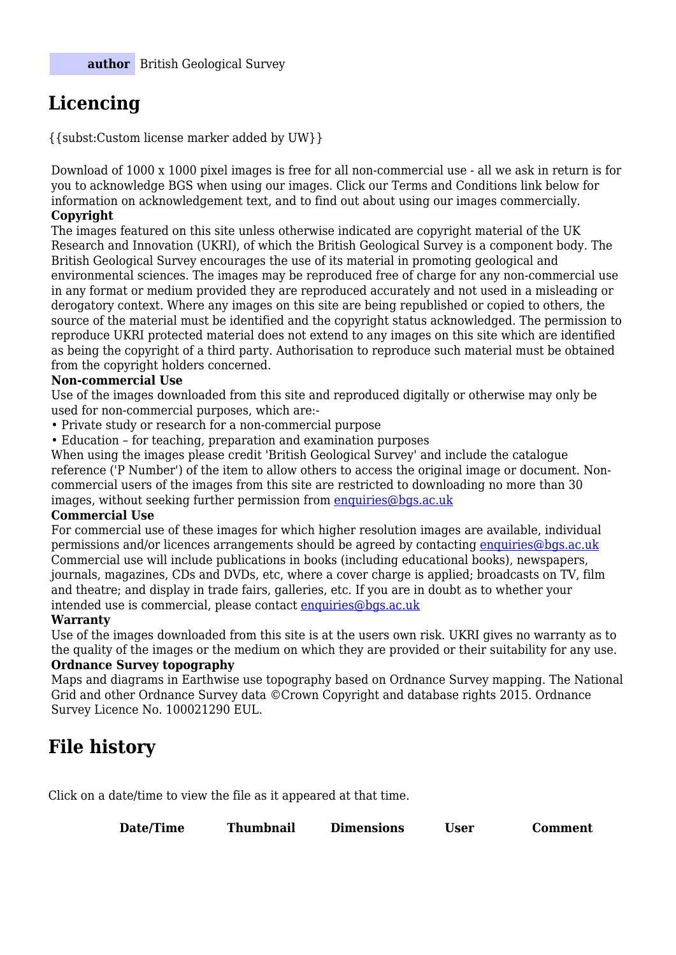# **Licencing**

{{subst:Custom license marker added by UW}}

Download of 1000 x 1000 pixel images is free for all non-commercial use - all we ask in return is for you to acknowledge BGS when using our images. Click our Terms and Conditions link below for information on acknowledgement text, and to find out about using our images commercially. **Copyright**

The images featured on this site unless otherwise indicated are copyright material of the UK Research and Innovation (UKRI), of which the British Geological Survey is a component body. The British Geological Survey encourages the use of its material in promoting geological and environmental sciences. The images may be reproduced free of charge for any non-commercial use in any format or medium provided they are reproduced accurately and not used in a misleading or derogatory context. Where any images on this site are being republished or copied to others, the source of the material must be identified and the copyright status acknowledged. The permission to reproduce UKRI protected material does not extend to any images on this site which are identified as being the copyright of a third party. Authorisation to reproduce such material must be obtained from the copyright holders concerned.

#### **Non-commercial Use**

Use of the images downloaded from this site and reproduced digitally or otherwise may only be used for non-commercial purposes, which are:-

- Private study or research for a non-commercial purpose
- Education for teaching, preparation and examination purposes

When using the images please credit 'British Geological Survey' and include the catalogue reference ('P Number') of the item to allow others to access the original image or document. Noncommercial users of the images from this site are restricted to downloading no more than 30 images, without seeking further permission from [enquiries@bgs.ac.uk](mailto:enquiries@bgs.ac.uk)

#### **Commercial Use**

For commercial use of these images for which higher resolution images are available, individual permissions and/or licences arrangements should be agreed by contacting [enquiries@bgs.ac.uk](mailto:enquiries@bgs.ac.uk) Commercial use will include publications in books (including educational books), newspapers, journals, magazines, CDs and DVDs, etc, where a cover charge is applied; broadcasts on TV, film and theatre; and display in trade fairs, galleries, etc. If you are in doubt as to whether your intended use is commercial, please contact [enquiries@bgs.ac.uk](mailto:enquiries@bgs.ac.uk)

#### **Warranty**

Use of the images downloaded from this site is at the users own risk. UKRI gives no warranty as to the quality of the images or the medium on which they are provided or their suitability for any use.

#### **Ordnance Survey topography**

Maps and diagrams in Earthwise use topography based on Ordnance Survey mapping. The National Grid and other Ordnance Survey data ©Crown Copyright and database rights 2015. Ordnance Survey Licence No. 100021290 EUL.

## **File history**

Click on a date/time to view the file as it appeared at that time.

| Date/Time<br><b>Thumbnail</b><br><b>Dimensions</b><br>Comment<br>Jser |  |
|-----------------------------------------------------------------------|--|
|-----------------------------------------------------------------------|--|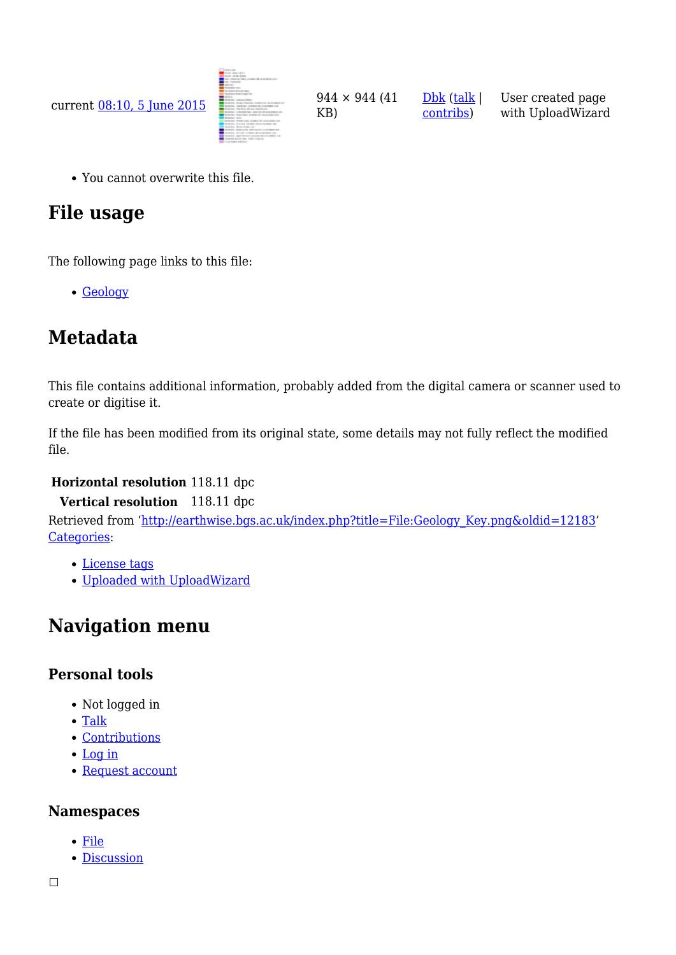

You cannot overwrite this file.

# **File usage**

The following page links to this file:

[Geology](http://earthwise.bgs.ac.uk/index.php/Geology)

# **Metadata**

This file contains additional information, probably added from the digital camera or scanner used to create or digitise it.

If the file has been modified from its original state, some details may not fully reflect the modified file.

#### **Horizontal resolution** 118.11 dpc

**Vertical resolution** 118.11 dpc

Retrieved from ['http://earthwise.bgs.ac.uk/index.php?title=File:Geology\\_Key.png&oldid=12183'](http://earthwise.bgs.ac.uk/index.php?title=File:Geology_Key.png&oldid=12183) [Categories:](http://earthwise.bgs.ac.uk/index.php/Special:Categories)

- [License tags](http://earthwise.bgs.ac.uk/index.php/Category:License_tags)
- [Uploaded with UploadWizard](http://earthwise.bgs.ac.uk/index.php/Category:Uploaded_with_UploadWizard)

# **Navigation menu**

#### **Personal tools**

- Not logged in
- [Talk](http://earthwise.bgs.ac.uk/index.php/Special:MyTalk)
- [Contributions](http://earthwise.bgs.ac.uk/index.php/Special:MyContributions)
- [Log in](http://earthwise.bgs.ac.uk/index.php?title=Special:UserLogin&returnto=File%3AGeology+Key.png&returntoquery=action%3Dmpdf)
- [Request account](http://earthwise.bgs.ac.uk/index.php/Special:RequestAccount)

#### **Namespaces**

- [File](http://earthwise.bgs.ac.uk/index.php/File:Geology_Key.png)
- [Discussion](http://earthwise.bgs.ac.uk/index.php?title=File_talk:Geology_Key.png&action=edit&redlink=1)